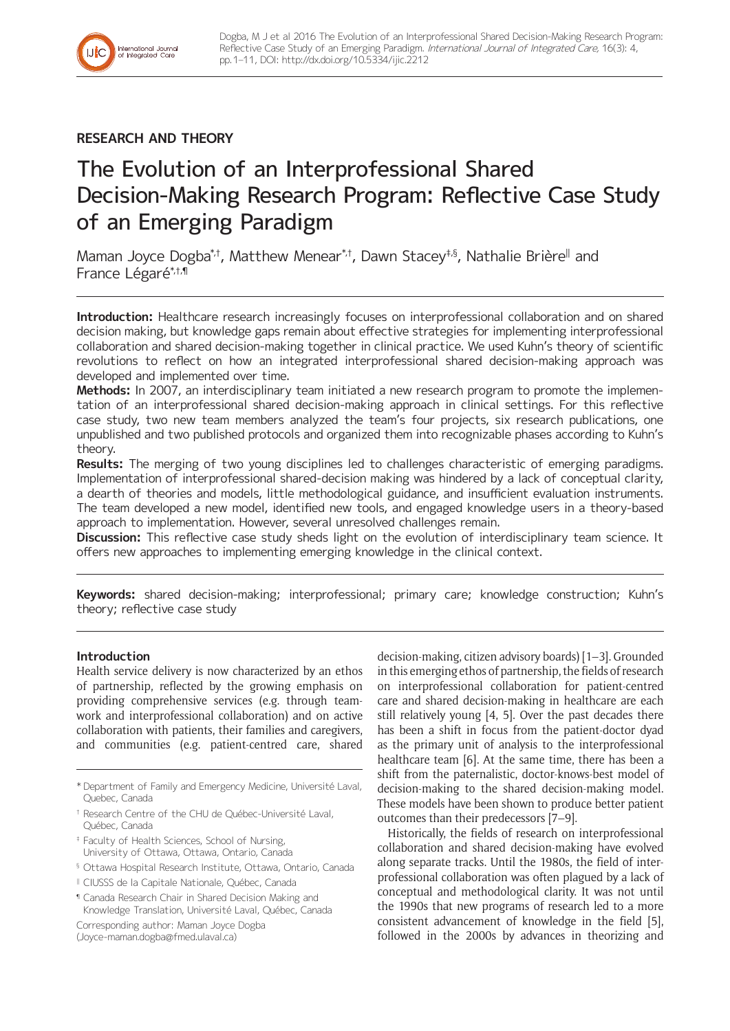

# **RESEARCH AND THEORY**

# The Evolution of an Interprofessional Shared Decision-Making Research Program: Reflective Case Study of an Emerging Paradigm

Maman Joyce Dogba\*'t, Matthew Menear\*'t, Dawn Stacey‡§, Nathalie Brière∥ and France Légaré\*,†,¶

**Introduction:** Healthcare research increasingly focuses on interprofessional collaboration and on shared decision making, but knowledge gaps remain about effective strategies for implementing interprofessional collaboration and shared decision-making together in clinical practice. We used Kuhn's theory of scientific revolutions to reflect on how an integrated interprofessional shared decision-making approach was developed and implemented over time.

**Methods:** In 2007, an interdisciplinary team initiated a new research program to promote the implementation of an interprofessional shared decision-making approach in clinical settings. For this reflective case study, two new team members analyzed the team's four projects, six research publications, one unpublished and two published protocols and organized them into recognizable phases according to Kuhn's theory.

**Results:** The merging of two young disciplines led to challenges characteristic of emerging paradigms. Implementation of interprofessional shared-decision making was hindered by a lack of conceptual clarity, a dearth of theories and models, little methodological guidance, and insufficient evaluation instruments. The team developed a new model, identified new tools, and engaged knowledge users in a theory-based approach to implementation. However, several unresolved challenges remain.

**Discussion:** This reflective case study sheds light on the evolution of interdisciplinary team science. It offers new approaches to implementing emerging knowledge in the clinical context.

**Keywords:** shared decision-making; interprofessional; primary care; knowledge construction; Kuhn's theory; reflective case study

# **Introduction**

Health service delivery is now characterized by an ethos of partnership, reflected by the growing emphasis on providing comprehensive services (e.g. through teamwork and interprofessional collaboration) and on active collaboration with patients, their families and caregivers, and communities (e.g. patient-centred care, shared

- † Research Centre of the CHU de Québec-Université Laval, Québec, Canada
- ‡ Faculty of Health Sciences, School of Nursing, University of Ottawa, Ottawa, Ontario, Canada

Corresponding author: Maman Joyce Dogba

([Joyce-maman.dogba@fmed.ulaval.ca](mailto:Joyce-maman.dogba@fmed.ulaval.ca))

decision-making, citizen advisory boards) [1–3]. Grounded in this emerging ethos of partnership, the fields of research on interprofessional collaboration for patient-centred care and shared decision-making in healthcare are each still relatively young [4, 5]. Over the past decades there has been a shift in focus from the patient-doctor dyad as the primary unit of analysis to the interprofessional healthcare team [6]. At the same time, there has been a shift from the paternalistic, doctor-knows-best model of decision-making to the shared decision-making model. These models have been shown to produce better patient outcomes than their predecessors [7–9].

Historically, the fields of research on interprofessional collaboration and shared decision-making have evolved along separate tracks. Until the 1980s, the field of interprofessional collaboration was often plagued by a lack of conceptual and methodological clarity. It was not until the 1990s that new programs of research led to a more consistent advancement of knowledge in the field [5], followed in the 2000s by advances in theorizing and

<sup>\*</sup> Department of Family and Emergency Medicine, Université Laval, Quebec, Canada

<sup>§</sup> Ottawa Hospital Research Institute, Ottawa, Ontario, Canada

<sup>ǁ</sup> CIUSSS de la Capitale Nationale, Québec, Canada

<sup>¶</sup> Canada Research Chair in Shared Decision Making and Knowledge Translation, Université Laval, Québec, Canada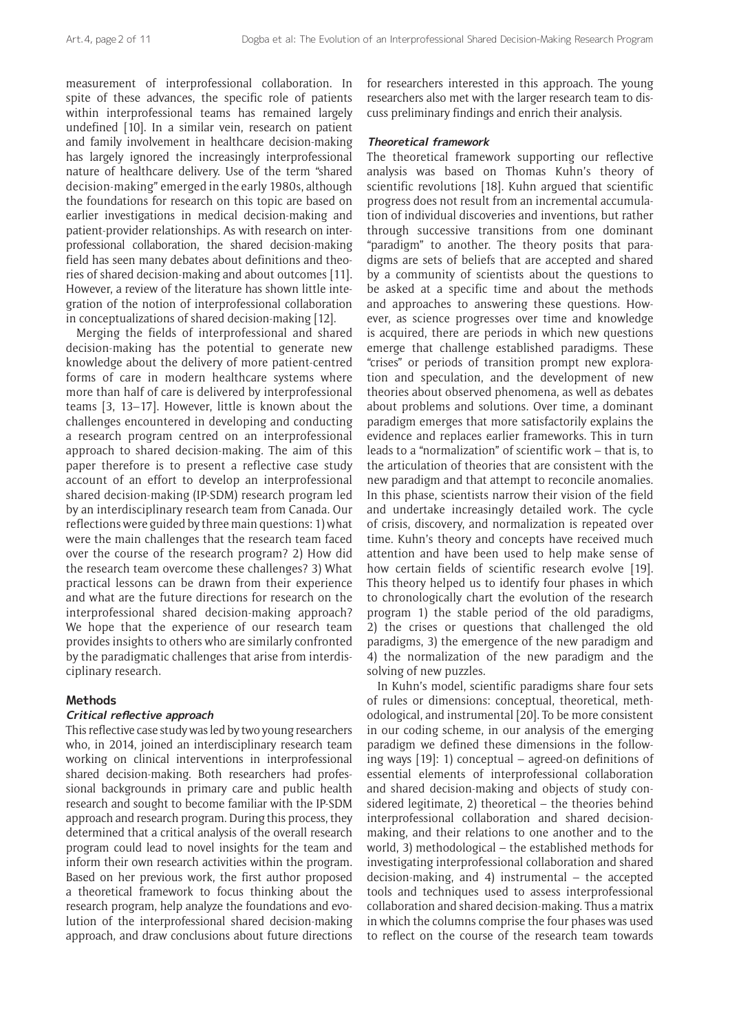measurement of interprofessional collaboration. In spite of these advances, the specific role of patients within interprofessional teams has remained largely undefined [10]. In a similar vein, research on patient and family involvement in healthcare decision-making has largely ignored the increasingly interprofessional nature of healthcare delivery. Use of the term "shared decision-making" emerged in the early 1980s, although the foundations for research on this topic are based on earlier investigations in medical decision-making and patient-provider relationships. As with research on interprofessional collaboration, the shared decision-making field has seen many debates about definitions and theories of shared decision-making and about outcomes [11]. However, a review of the literature has shown little integration of the notion of interprofessional collaboration in conceptualizations of shared decision-making [12].

Merging the fields of interprofessional and shared decision-making has the potential to generate new knowledge about the delivery of more patient-centred forms of care in modern healthcare systems where more than half of care is delivered by interprofessional teams [3, 13–17]. However, little is known about the challenges encountered in developing and conducting a research program centred on an interprofessional approach to shared decision-making. The aim of this paper therefore is to present a reflective case study account of an effort to develop an interprofessional shared decision-making (IP-SDM) research program led by an interdisciplinary research team from Canada. Our reflections were guided by three main questions: 1) what were the main challenges that the research team faced over the course of the research program? 2) How did the research team overcome these challenges? 3) What practical lessons can be drawn from their experience and what are the future directions for research on the interprofessional shared decision-making approach? We hope that the experience of our research team provides insights to others who are similarly confronted by the paradigmatic challenges that arise from interdisciplinary research.

#### **Methods**

# **Critical reflective approach**

This reflective case study was led by two young researchers who, in 2014, joined an interdisciplinary research team working on clinical interventions in interprofessional shared decision-making. Both researchers had professional backgrounds in primary care and public health research and sought to become familiar with the IP-SDM approach and research program. During this process, they determined that a critical analysis of the overall research program could lead to novel insights for the team and inform their own research activities within the program. Based on her previous work, the first author proposed a theoretical framework to focus thinking about the research program, help analyze the foundations and evolution of the interprofessional shared decision-making approach, and draw conclusions about future directions for researchers interested in this approach. The young researchers also met with the larger research team to discuss preliminary findings and enrich their analysis.

# **Theoretical framework**

The theoretical framework supporting our reflective analysis was based on Thomas Kuhn's theory of scientific revolutions [18]. Kuhn argued that scientific progress does not result from an incremental accumulation of individual discoveries and inventions, but rather through successive transitions from one dominant "paradigm" to another. The theory posits that paradigms are sets of beliefs that are accepted and shared by a community of scientists about the questions to be asked at a specific time and about the methods and approaches to answering these questions. However, as science progresses over time and knowledge is acquired, there are periods in which new questions emerge that challenge established paradigms. These "crises" or periods of transition prompt new exploration and speculation, and the development of new theories about observed phenomena, as well as debates about problems and solutions. Over time, a dominant paradigm emerges that more satisfactorily explains the evidence and replaces earlier frameworks. This in turn leads to a "normalization" of scientific work – that is, to the articulation of theories that are consistent with the new paradigm and that attempt to reconcile anomalies. In this phase, scientists narrow their vision of the field and undertake increasingly detailed work. The cycle of crisis, discovery, and normalization is repeated over time. Kuhn's theory and concepts have received much attention and have been used to help make sense of how certain fields of scientific research evolve [19]. This theory helped us to identify four phases in which to chronologically chart the evolution of the research program 1) the stable period of the old paradigms, 2) the crises or questions that challenged the old paradigms, 3) the emergence of the new paradigm and 4) the normalization of the new paradigm and the solving of new puzzles.

In Kuhn's model, scientific paradigms share four sets of rules or dimensions: conceptual, theoretical, methodological, and instrumental [20]. To be more consistent in our coding scheme, in our analysis of the emerging paradigm we defined these dimensions in the following ways [19]: 1) conceptual – agreed-on definitions of essential elements of interprofessional collaboration and shared decision-making and objects of study considered legitimate, 2) theoretical – the theories behind interprofessional collaboration and shared decisionmaking, and their relations to one another and to the world, 3) methodological – the established methods for investigating interprofessional collaboration and shared decision-making, and 4) instrumental – the accepted tools and techniques used to assess interprofessional collaboration and shared decision-making. Thus a matrix in which the columns comprise the four phases was used to reflect on the course of the research team towards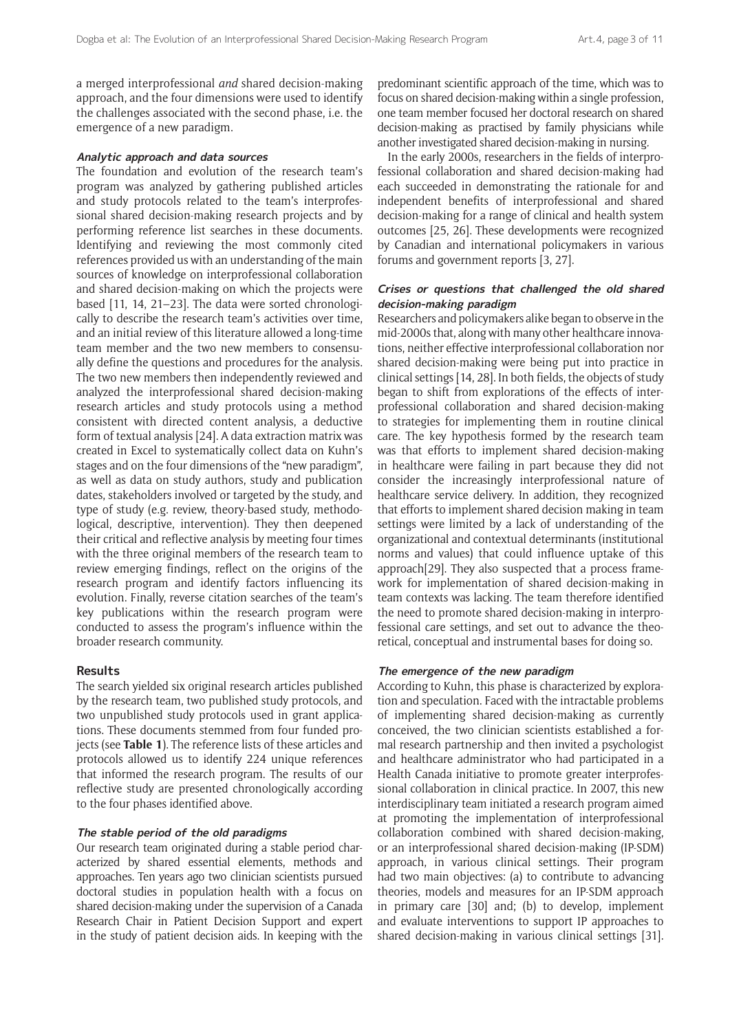a merged interprofessional *and* shared decision-making approach, and the four dimensions were used to identify the challenges associated with the second phase, i.e. the emergence of a new paradigm.

#### **Analytic approach and data sources**

The foundation and evolution of the research team's program was analyzed by gathering published articles and study protocols related to the team's interprofessional shared decision-making research projects and by performing reference list searches in these documents. Identifying and reviewing the most commonly cited references provided us with an understanding of the main sources of knowledge on interprofessional collaboration and shared decision-making on which the projects were based [11, 14, 21–23]. The data were sorted chronologically to describe the research team's activities over time, and an initial review of this literature allowed a long-time team member and the two new members to consensually define the questions and procedures for the analysis. The two new members then independently reviewed and analyzed the interprofessional shared decision-making research articles and study protocols using a method consistent with directed content analysis, a deductive form of textual analysis [24]. A data extraction matrix was created in Excel to systematically collect data on Kuhn's stages and on the four dimensions of the "new paradigm", as well as data on study authors, study and publication dates, stakeholders involved or targeted by the study, and type of study (e.g. review, theory-based study, methodological, descriptive, intervention). They then deepened their critical and reflective analysis by meeting four times with the three original members of the research team to review emerging findings, reflect on the origins of the research program and identify factors influencing its evolution. Finally, reverse citation searches of the team's key publications within the research program were conducted to assess the program's influence within the broader research community.

#### **Results**

The search yielded six original research articles published by the research team, two published study protocols, and two unpublished study protocols used in grant applications. These documents stemmed from four funded projects (see **Table 1**). The reference lists of these articles and protocols allowed us to identify 224 unique references that informed the research program. The results of our reflective study are presented chronologically according to the four phases identified above.

#### **The stable period of the old paradigms**

Our research team originated during a stable period characterized by shared essential elements, methods and approaches. Ten years ago two clinician scientists pursued doctoral studies in population health with a focus on shared decision-making under the supervision of a Canada Research Chair in Patient Decision Support and expert in the study of patient decision aids. In keeping with the

predominant scientific approach of the time, which was to focus on shared decision-making within a single profession, one team member focused her doctoral research on shared decision-making as practised by family physicians while another investigated shared decision-making in nursing*.*

In the early 2000s, researchers in the fields of interprofessional collaboration and shared decision-making had each succeeded in demonstrating the rationale for and independent benefits of interprofessional and shared decision-making for a range of clinical and health system outcomes [25, 26]. These developments were recognized by Canadian and international policymakers in various forums and government reports [3, 27].

# **Crises or questions that challenged the old shared decision-making paradigm**

Researchers and policymakers alike began to observe in the mid-2000s that, along with many other healthcare innovations, neither effective interprofessional collaboration nor shared decision-making were being put into practice in clinical settings [14, 28]. In both fields, the objects of study began to shift from explorations of the effects of interprofessional collaboration and shared decision-making to strategies for implementing them in routine clinical care. The key hypothesis formed by the research team was that efforts to implement shared decision-making in healthcare were failing in part because they did not consider the increasingly interprofessional nature of healthcare service delivery. In addition, they recognized that efforts to implement shared decision making in team settings were limited by a lack of understanding of the organizational and contextual determinants (institutional norms and values) that could influence uptake of this approach[29]. They also suspected that a process framework for implementation of shared decision-making in team contexts was lacking. The team therefore identified the need to promote shared decision-making in interprofessional care settings, and set out to advance the theoretical, conceptual and instrumental bases for doing so.

#### **The emergence of the new paradigm**

According to Kuhn, this phase is characterized by exploration and speculation. Faced with the intractable problems of implementing shared decision-making as currently conceived, the two clinician scientists established a formal research partnership and then invited a psychologist and healthcare administrator who had participated in a Health Canada initiative to promote greater interprofessional collaboration in clinical practice. In 2007, this new interdisciplinary team initiated a research program aimed at promoting the implementation of interprofessional collaboration combined with shared decision-making, or an interprofessional shared decision-making (IP-SDM) approach, in various clinical settings. Their program had two main objectives: (a) to contribute to advancing theories, models and measures for an IP-SDM approach in primary care [30] and; (b) to develop, implement and evaluate interventions to support IP approaches to shared decision-making in various clinical settings [31].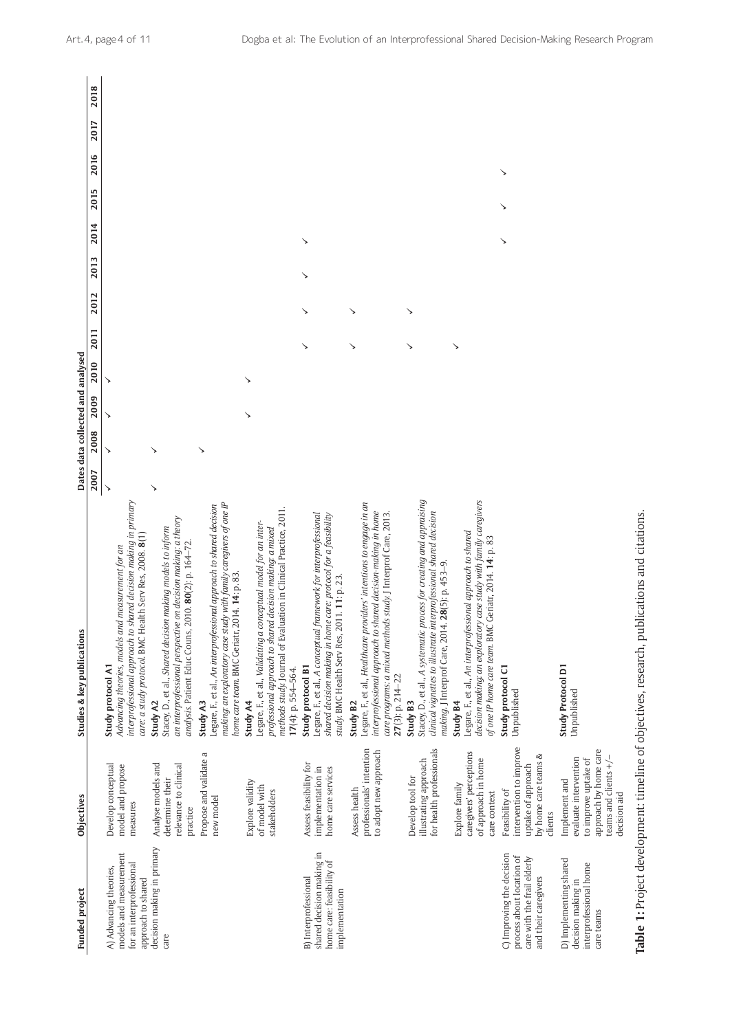| <b>Funded project</b>                                                                                         | <b>Objectives</b>                                                                                                                  | Studies & key publications                                                                                                                                                                                                                           |              |      |      | Dates data collected and analysed |      |      |      |      |      |      |      |      |
|---------------------------------------------------------------------------------------------------------------|------------------------------------------------------------------------------------------------------------------------------------|------------------------------------------------------------------------------------------------------------------------------------------------------------------------------------------------------------------------------------------------------|--------------|------|------|-----------------------------------|------|------|------|------|------|------|------|------|
|                                                                                                               |                                                                                                                                    |                                                                                                                                                                                                                                                      | 2007         | 2008 | 2009 | 2010                              | 2011 | 2012 | 2013 | 2014 | 2015 | 2016 | 2017 | 2018 |
| models and measurement<br>for an interprofessional<br>A) Advancing theories,<br>approach to shared            | Develop conceptual<br>model and propose<br>measures                                                                                | interprofessional approach to shared decision making in primary<br>care: a study protocol. BMC Health Serv Res, 2008. 8(1)<br>Advancing theories, models and measurement for an<br>Study protocol A1                                                 | $\checkmark$ |      | ↘    |                                   |      |      |      |      |      |      |      |      |
| decision making in primary<br>care                                                                            | Analyse models and<br>relevance to clinical<br>determine their<br>practice                                                         | an interprofessional perspective on decision making: a theory<br>Stacey, D., et al., Shared decision making models to inform<br>2010. 80(2): p. 164-72.<br>analysis. Patient Educ Couns,<br>Study A2                                                 | ↘            |      |      |                                   |      |      |      |      |      |      |      |      |
|                                                                                                               | Propose and validate a<br>new model                                                                                                | making: an exploratory case study with family caregivers of one IP<br>Legare, F., et al., An interprofessional approach to shared decision<br>home care team. BMC Geriatr, 2014. 14: p. 83.<br><b>Study A3</b>                                       |              | ↘    |      |                                   |      |      |      |      |      |      |      |      |
|                                                                                                               | Explore validity<br>of model with<br>stakeholders                                                                                  | methods study. Journal of Evaluation in Clinical Practice, 2011.<br>Legare, F., et al., Validating a conceptual model for an inter-<br>professional approach to shared decision making: a mixed<br>17(4): p. 554-564.<br><b>Study A4</b>             |              |      |      | ↘                                 |      |      |      |      |      |      |      |      |
| shared decision making in<br>home care: feasibility of<br><b>B</b> ) Interprofessional<br>implementation      | Assess feasibility for<br>implementation in<br>home care services                                                                  | Legare, F., et al., A conceptual framework for interprofessional<br>shared decision making in home care: protocol for a feasibility<br>study. BMC Health Serv Res, 2011. 11: p. 23.<br>Study protocol B1                                             |              |      |      |                                   | ↘    | ↘    | ↘    | ↘    |      |      |      |      |
|                                                                                                               | professionals' intention<br>to adopt new approach<br>Assess health                                                                 | Legare, F., et al., Healthcare providers' intentions to engage in an<br>interprofessional approach to shared decision-making in home<br>care programs: a mixed methods study. J Interprof Care, 2013.<br>$27(3)$ : p. 214-22<br>Study B <sub>2</sub> |              |      |      |                                   | ↘    | ↘    |      |      |      |      |      |      |
|                                                                                                               | for health professionals<br>illustrating approach<br>Develop tool for                                                              | Stacey, D., et al., A systematic process for creating and appraising<br>clinical vignettes to illustrate interprofessional shared decision<br>making. J Interprof Care, 2014. 28(5): p. 453-9.<br>Study B3                                           |              |      |      |                                   | ↘    | ↘    |      |      |      |      |      |      |
|                                                                                                               | caregivers' perceptions<br>of approach in home<br>Explore family<br>care context                                                   | decision making: an exploratory case study with family caregivers<br>Legare, F., et al., An interprofessional approach to shared<br>of one IP home care team. BMC Geriatr, 2014. 14: p. 83<br><b>Study B4</b>                                        |              |      |      |                                   | ↘    |      |      |      |      |      |      |      |
| C) Improving the decision<br>process about location of<br>care with the frail elderly<br>and their caregivers | intervention to improve<br>by home care teams &<br>uptake of approach<br>Feasibility of<br>clients                                 | Study protocol C1<br>Unpublished                                                                                                                                                                                                                     |              |      |      |                                   |      |      |      | ↘    |      | ↘    |      |      |
| D) Implementing shared<br>interprofessional home<br>decision making in<br>care teams                          | approach by home care<br>teams and clients $+/-$<br>evaluate intervention<br>to improve uptake of<br>Implement and<br>decision aid | Study Protocol D1<br>Unpublished                                                                                                                                                                                                                     |              |      |      |                                   |      |      |      |      |      |      |      |      |
|                                                                                                               |                                                                                                                                    | Table 1: Project development: timeline of objectives, research, publications and citations.                                                                                                                                                          |              |      |      |                                   |      |      |      |      |      |      |      |      |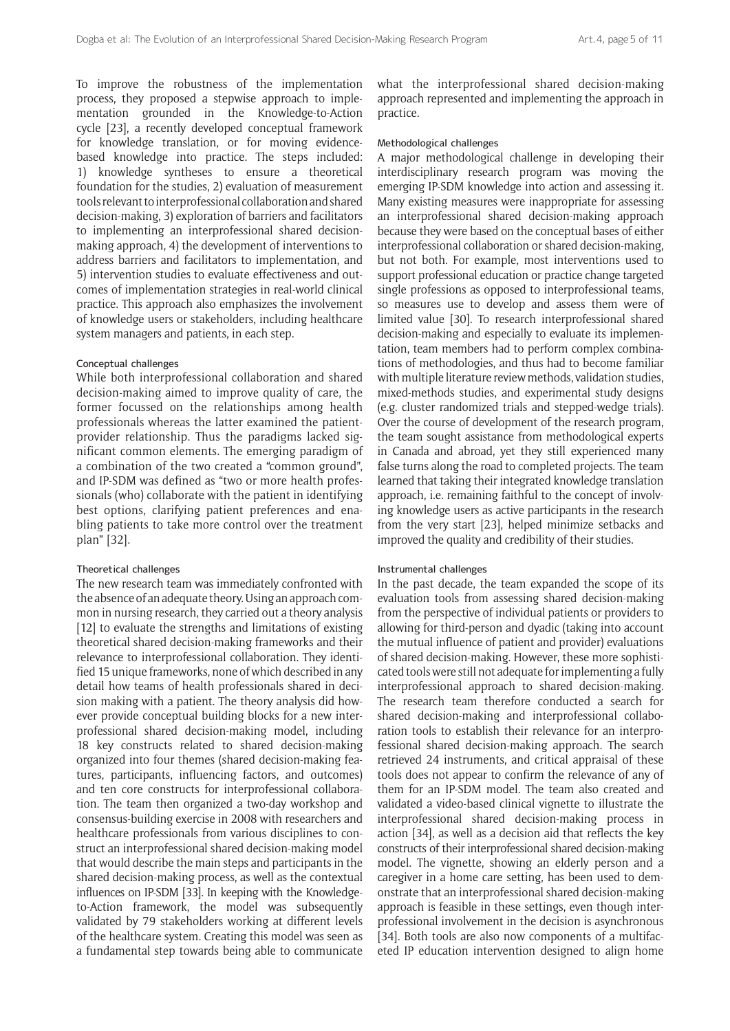To improve the robustness of the implementation process, they proposed a stepwise approach to implementation grounded in the Knowledge-to-Action cycle [23], a recently developed conceptual framework for knowledge translation, or for moving evidencebased knowledge into practice. The steps included: 1) knowledge syntheses to ensure a theoretical foundation for the studies, 2) evaluation of measurement tools relevant to interprofessional collaboration and shared decision-making, 3) exploration of barriers and facilitators to implementing an interprofessional shared decisionmaking approach, 4) the development of interventions to address barriers and facilitators to implementation, and 5) intervention studies to evaluate effectiveness and outcomes of implementation strategies in real-world clinical practice. This approach also emphasizes the involvement of knowledge users or stakeholders, including healthcare system managers and patients, in each step.

#### Conceptual challenges

While both interprofessional collaboration and shared decision-making aimed to improve quality of care, the former focussed on the relationships among health professionals whereas the latter examined the patientprovider relationship. Thus the paradigms lacked significant common elements. The emerging paradigm of a combination of the two created a "common ground", and IP-SDM was defined as "two or more health professionals (who) collaborate with the patient in identifying best options, clarifying patient preferences and enabling patients to take more control over the treatment plan" [32].

#### Theoretical challenges

The new research team was immediately confronted with the absence of an adequate theory. Using an approach common in nursing research, they carried out a theory analysis [12] to evaluate the strengths and limitations of existing theoretical shared decision-making frameworks and their relevance to interprofessional collaboration. They identified 15 unique frameworks, none of which described in any detail how teams of health professionals shared in decision making with a patient. The theory analysis did however provide conceptual building blocks for a new interprofessional shared decision-making model, including 18 key constructs related to shared decision-making organized into four themes (shared decision-making features, participants, influencing factors, and outcomes) and ten core constructs for interprofessional collaboration. The team then organized a two-day workshop and consensus-building exercise in 2008 with researchers and healthcare professionals from various disciplines to construct an interprofessional shared decision-making model that would describe the main steps and participants in the shared decision-making process, as well as the contextual influences on IP-SDM [33]. In keeping with the Knowledgeto-Action framework, the model was subsequently validated by 79 stakeholders working at different levels of the healthcare system. Creating this model was seen as a fundamental step towards being able to communicate what the interprofessional shared decision-making approach represented and implementing the approach in practice.

#### Methodological challenges

A major methodological challenge in developing their interdisciplinary research program was moving the emerging IP-SDM knowledge into action and assessing it. Many existing measures were inappropriate for assessing an interprofessional shared decision-making approach because they were based on the conceptual bases of either interprofessional collaboration or shared decision-making, but not both. For example, most interventions used to support professional education or practice change targeted single professions as opposed to interprofessional teams, so measures use to develop and assess them were of limited value [30]. To research interprofessional shared decision-making and especially to evaluate its implementation, team members had to perform complex combinations of methodologies, and thus had to become familiar with multiple literature review methods, validation studies, mixed-methods studies, and experimental study designs (e.g. cluster randomized trials and stepped-wedge trials). Over the course of development of the research program, the team sought assistance from methodological experts in Canada and abroad, yet they still experienced many false turns along the road to completed projects. The team learned that taking their integrated knowledge translation approach, i.e. remaining faithful to the concept of involving knowledge users as active participants in the research from the very start [23], helped minimize setbacks and improved the quality and credibility of their studies.

#### Instrumental challenges

In the past decade, the team expanded the scope of its evaluation tools from assessing shared decision-making from the perspective of individual patients or providers to allowing for third-person and dyadic (taking into account the mutual influence of patient and provider) evaluations of shared decision-making. However, these more sophisticated tools were still not adequate for implementing a fully interprofessional approach to shared decision-making. The research team therefore conducted a search for shared decision-making and interprofessional collaboration tools to establish their relevance for an interprofessional shared decision-making approach. The search retrieved 24 instruments, and critical appraisal of these tools does not appear to confirm the relevance of any of them for an IP-SDM model. The team also created and validated a video-based clinical vignette to illustrate the interprofessional shared decision-making process in action [34], as well as a decision aid that reflects the key constructs of their interprofessional shared decision-making model. The vignette, showing an elderly person and a caregiver in a home care setting, has been used to demonstrate that an interprofessional shared decision-making approach is feasible in these settings, even though interprofessional involvement in the decision is asynchronous [34]. Both tools are also now components of a multifaceted IP education intervention designed to align home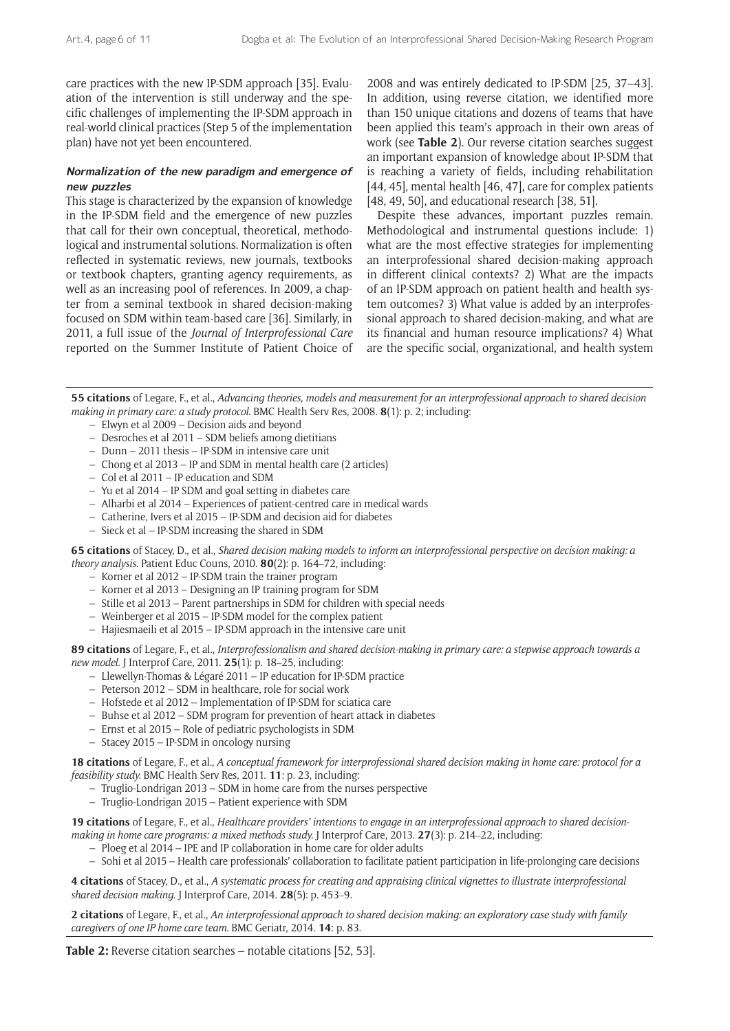care practices with the new IP-SDM approach [35]. Evaluation of the intervention is still underway and the specific challenges of implementing the IP-SDM approach in real-world clinical practices (Step 5 of the implementation plan) have not yet been encountered.

# **Normalization of the new paradigm and emergence of new puzzles**

This stage is characterized by the expansion of knowledge in the IP-SDM field and the emergence of new puzzles that call for their own conceptual, theoretical, methodological and instrumental solutions. Normalization is often reflected in systematic reviews, new journals, textbooks or textbook chapters, granting agency requirements, as well as an increasing pool of references. In 2009, a chapter from a seminal textbook in shared decision-making focused on SDM within team-based care [36]. Similarly, in 2011, a full issue of the *Journal of Interprofessional Care* reported on the Summer Institute of Patient Choice of 2008 and was entirely dedicated to IP-SDM [25, 37–43]. In addition, using reverse citation, we identified more than 150 unique citations and dozens of teams that have been applied this team's approach in their own areas of work (see **Table 2**). Our reverse citation searches suggest an important expansion of knowledge about IP-SDM that is reaching a variety of fields, including rehabilitation [44, 45], mental health [46, 47], care for complex patients [48, 49, 50], and educational research [38, 51].

Despite these advances, important puzzles remain. Methodological and instrumental questions include: 1) what are the most effective strategies for implementing an interprofessional shared decision-making approach in different clinical contexts? 2) What are the impacts of an IP-SDM approach on patient health and health system outcomes? 3) What value is added by an interprofessional approach to shared decision-making, and what are its financial and human resource implications? 4) What are the specific social, organizational, and health system

**55 citations** of Legare, F., et al., *Advancing theories, models and measurement for an interprofessional approach to shared decision making in primary care: a study protocol.* BMC Health Serv Res, 2008. **8**(1): p. 2; including:

- Elwyn et al 2009 Decision aids and beyond
- Desroches et al 2011 SDM beliefs among dietitians
- Dunn 2011 thesis IP-SDM in intensive care unit
- Chong et al 2013 IP and SDM in mental health care (2 articles)
- Col et al 2011 IP education and SDM
- Yu et al 2014 IP SDM and goal setting in diabetes care
- Alharbi et al 2014 Experiences of patient-centred care in medical wards
- Catherine, Ivers et al 2015 IP-SDM and decision aid for diabetes
- Sieck et al IP-SDM increasing the shared in SDM

**65 citations** of Stacey, D., et al., *Shared decision making models to inform an interprofessional perspective on decision making: a theory analysis.* Patient Educ Couns, 2010. **80**(2): p. 164–72, including:

- Korner et al 2012 IP-SDM train the trainer program
- Korner et al 2013 Designing an IP training program for SDM
- Stille et al 2013 Parent partnerships in SDM for children with special needs
- Weinberger et al 2015 IP-SDM model for the complex patient
- Hajiesmaeili et al 2015 IP-SDM approach in the intensive care unit

**89 citations** of Legare, F., et al., *Interprofessionalism and shared decision-making in primary care: a stepwise approach towards a new model.* J Interprof Care, 2011. **25**(1): p. 18–25, including:

- Llewellyn-Thomas & Légaré 2011 IP education for IP-SDM practice
- Peterson 2012 SDM in healthcare, role for social work
- Hofstede et al 2012 Implementation of IP-SDM for sciatica care
- Buhse et al 2012 SDM program for prevention of heart attack in diabetes
- Ernst et al 2015 Role of pediatric psychologists in SDM
- Stacey 2015 IP-SDM in oncology nursing

**18 citations** of Legare, F., et al., *A conceptual framework for interprofessional shared decision making in home care: protocol for a feasibility study.* BMC Health Serv Res, 2011. **11**: p. 23, including:

- Truglio-Londrigan 2013 SDM in home care from the nurses perspective
- Truglio-Londrigan 2015 Patient experience with SDM

**19 citations** of Legare, F., et al., *Healthcare providers' intentions to engage in an interprofessional approach to shared decisionmaking in home care programs: a mixed methods study.* J Interprof Care, 2013. **27**(3): p. 214–22, including:

- Ploeg et al 2014 IPE and IP collaboration in home care for older adults
- Sohi et al 2015 Health care professionals' collaboration to facilitate patient participation in life-prolonging care decisions

**4 citations** of Stacey, D., et al., *A systematic process for creating and appraising clinical vignettes to illustrate interprofessional shared decision making.* J Interprof Care, 2014. **28**(5): p. 453–9.

**2 citations** of Legare, F., et al., *An interprofessional approach to shared decision making: an exploratory case study with family caregivers of one IP home care team.* BMC Geriatr, 2014. **14**: p. 83.

**Table 2:** Reverse citation searches – notable citations [52, 53].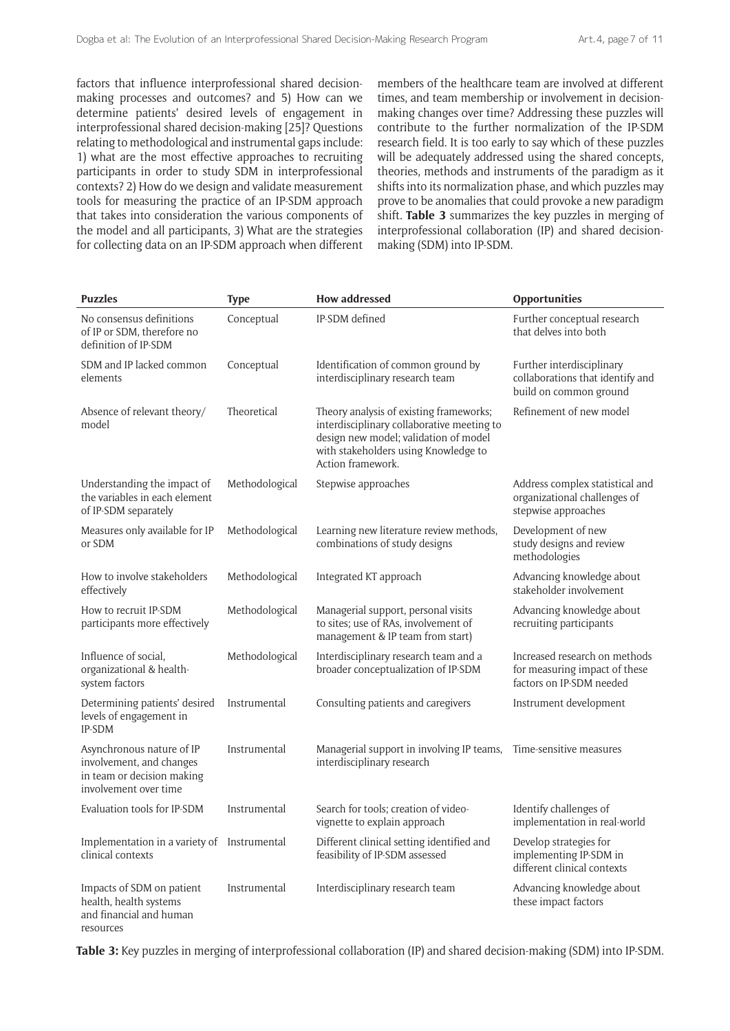factors that influence interprofessional shared decisionmaking processes and outcomes? and 5) How can we determine patients' desired levels of engagement in interprofessional shared decision-making [25]? Questions relating to methodological and instrumental gaps include: 1) what are the most effective approaches to recruiting participants in order to study SDM in interprofessional contexts? 2) How do we design and validate measurement tools for measuring the practice of an IP-SDM approach that takes into consideration the various components of the model and all participants, 3) What are the strategies for collecting data on an IP-SDM approach when different members of the healthcare team are involved at different times, and team membership or involvement in decisionmaking changes over time? Addressing these puzzles will contribute to the further normalization of the IP-SDM research field. It is too early to say which of these puzzles will be adequately addressed using the shared concepts, theories, methods and instruments of the paradigm as it shifts into its normalization phase, and which puzzles may prove to be anomalies that could provoke a new paradigm shift. **Table 3** summarizes the key puzzles in merging of interprofessional collaboration (IP) and shared decisionmaking (SDM) into IP-SDM.

| <b>Puzzles</b>                                                                                               | <b>Type</b>    | <b>How addressed</b>                                                                                                                                                                        | Opportunities                                                                              |
|--------------------------------------------------------------------------------------------------------------|----------------|---------------------------------------------------------------------------------------------------------------------------------------------------------------------------------------------|--------------------------------------------------------------------------------------------|
| No consensus definitions<br>of IP or SDM, therefore no<br>definition of IP-SDM                               | Conceptual     | IP-SDM defined                                                                                                                                                                              | Further conceptual research<br>that delves into both                                       |
| SDM and IP lacked common<br>elements                                                                         | Conceptual     | Identification of common ground by<br>interdisciplinary research team                                                                                                                       | Further interdisciplinary<br>collaborations that identify and<br>build on common ground    |
| Absence of relevant theory/<br>model                                                                         | Theoretical    | Theory analysis of existing frameworks;<br>interdisciplinary collaborative meeting to<br>design new model; validation of model<br>with stakeholders using Knowledge to<br>Action framework. | Refinement of new model                                                                    |
| Understanding the impact of<br>the variables in each element<br>of IP-SDM separately                         | Methodological | Stepwise approaches                                                                                                                                                                         | Address complex statistical and<br>organizational challenges of<br>stepwise approaches     |
| Measures only available for IP<br>or SDM                                                                     | Methodological | Learning new literature review methods,<br>combinations of study designs                                                                                                                    | Development of new<br>study designs and review<br>methodologies                            |
| How to involve stakeholders<br>effectively                                                                   | Methodological | Integrated KT approach                                                                                                                                                                      | Advancing knowledge about<br>stakeholder involvement                                       |
| How to recruit IP-SDM<br>participants more effectively                                                       | Methodological | Managerial support, personal visits<br>to sites; use of RAs, involvement of<br>management & IP team from start)                                                                             | Advancing knowledge about<br>recruiting participants                                       |
| Influence of social,<br>organizational & health-<br>system factors                                           | Methodological | Interdisciplinary research team and a<br>broader conceptualization of IP-SDM                                                                                                                | Increased research on methods<br>for measuring impact of these<br>factors on IP-SDM needed |
| Determining patients' desired<br>levels of engagement in<br>IP-SDM                                           | Instrumental   | Consulting patients and caregivers                                                                                                                                                          | Instrument development                                                                     |
| Asynchronous nature of IP<br>involvement, and changes<br>in team or decision making<br>involvement over time | Instrumental   | Managerial support in involving IP teams, Time-sensitive measures<br>interdisciplinary research                                                                                             |                                                                                            |
| Evaluation tools for IP-SDM                                                                                  | Instrumental   | Search for tools; creation of video-<br>vignette to explain approach                                                                                                                        | Identify challenges of<br>implementation in real-world                                     |
| Implementation in a variety of Instrumental<br>clinical contexts                                             |                | Different clinical setting identified and<br>feasibility of IP-SDM assessed                                                                                                                 | Develop strategies for<br>implementing IP-SDM in<br>different clinical contexts            |
| Impacts of SDM on patient<br>health, health systems<br>and financial and human<br>resources                  | Instrumental   | Interdisciplinary research team                                                                                                                                                             | Advancing knowledge about<br>these impact factors                                          |

**Table 3:** Key puzzles in merging of interprofessional collaboration (IP) and shared decision-making (SDM) into IP-SDM.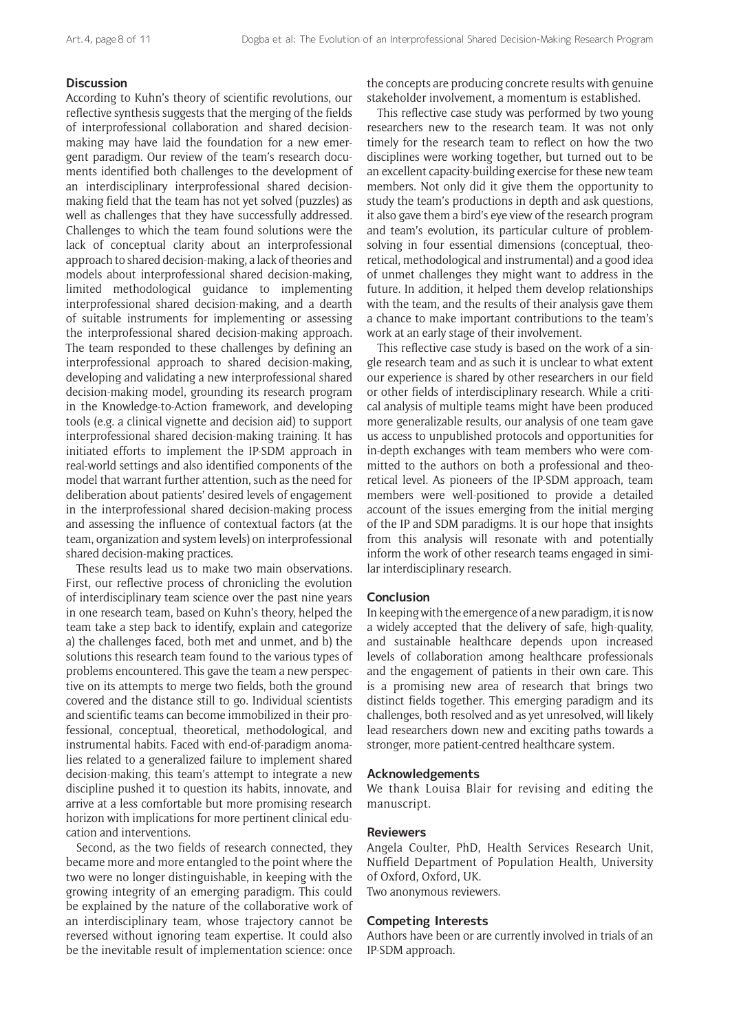# **Discussion**

According to Kuhn's theory of scientific revolutions, our reflective synthesis suggests that the merging of the fields of interprofessional collaboration and shared decisionmaking may have laid the foundation for a new emergent paradigm. Our review of the team's research documents identified both challenges to the development of an interdisciplinary interprofessional shared decisionmaking field that the team has not yet solved (puzzles) as well as challenges that they have successfully addressed. Challenges to which the team found solutions were the lack of conceptual clarity about an interprofessional approach to shared decision-making, a lack of theories and models about interprofessional shared decision-making, limited methodological guidance to implementing interprofessional shared decision-making, and a dearth of suitable instruments for implementing or assessing the interprofessional shared decision-making approach. The team responded to these challenges by defining an interprofessional approach to shared decision-making, developing and validating a new interprofessional shared decision-making model, grounding its research program in the Knowledge-to-Action framework, and developing tools (e.g. a clinical vignette and decision aid) to support interprofessional shared decision-making training. It has initiated efforts to implement the IP-SDM approach in real-world settings and also identified components of the model that warrant further attention, such as the need for deliberation about patients' desired levels of engagement in the interprofessional shared decision-making process and assessing the influence of contextual factors (at the team, organization and system levels) on interprofessional shared decision-making practices.

These results lead us to make two main observations. First, our reflective process of chronicling the evolution of interdisciplinary team science over the past nine years in one research team, based on Kuhn's theory, helped the team take a step back to identify, explain and categorize a) the challenges faced, both met and unmet, and b) the solutions this research team found to the various types of problems encountered. This gave the team a new perspective on its attempts to merge two fields, both the ground covered and the distance still to go. Individual scientists and scientific teams can become immobilized in their professional, conceptual, theoretical, methodological, and instrumental habits. Faced with end-of-paradigm anomalies related to a generalized failure to implement shared decision-making, this team's attempt to integrate a new discipline pushed it to question its habits, innovate, and arrive at a less comfortable but more promising research horizon with implications for more pertinent clinical education and interventions.

Second, as the two fields of research connected, they became more and more entangled to the point where the two were no longer distinguishable, in keeping with the growing integrity of an emerging paradigm. This could be explained by the nature of the collaborative work of an interdisciplinary team, whose trajectory cannot be reversed without ignoring team expertise. It could also be the inevitable result of implementation science: once

the concepts are producing concrete results with genuine stakeholder involvement, a momentum is established.

This reflective case study was performed by two young researchers new to the research team. It was not only timely for the research team to reflect on how the two disciplines were working together, but turned out to be an excellent capacity-building exercise for these new team members. Not only did it give them the opportunity to study the team's productions in depth and ask questions, it also gave them a bird's eye view of the research program and team's evolution, its particular culture of problemsolving in four essential dimensions (conceptual, theoretical, methodological and instrumental) and a good idea of unmet challenges they might want to address in the future. In addition, it helped them develop relationships with the team, and the results of their analysis gave them a chance to make important contributions to the team's work at an early stage of their involvement.

This reflective case study is based on the work of a single research team and as such it is unclear to what extent our experience is shared by other researchers in our field or other fields of interdisciplinary research. While a critical analysis of multiple teams might have been produced more generalizable results, our analysis of one team gave us access to unpublished protocols and opportunities for in-depth exchanges with team members who were committed to the authors on both a professional and theoretical level. As pioneers of the IP-SDM approach, team members were well-positioned to provide a detailed account of the issues emerging from the initial merging of the IP and SDM paradigms. It is our hope that insights from this analysis will resonate with and potentially inform the work of other research teams engaged in similar interdisciplinary research.

#### **Conclusion**

In keeping with the emergence of a new paradigm, it is now a widely accepted that the delivery of safe, high-quality, and sustainable healthcare depends upon increased levels of collaboration among healthcare professionals and the engagement of patients in their own care. This is a promising new area of research that brings two distinct fields together. This emerging paradigm and its challenges, both resolved and as yet unresolved, will likely lead researchers down new and exciting paths towards a stronger, more patient-centred healthcare system.

#### **Acknowledgements**

We thank Louisa Blair for revising and editing the manuscript.

#### **Reviewers**

Angela Coulter, PhD, Health Services Research Unit, Nuffield Department of Population Health, University of Oxford, Oxford, UK. Two anonymous reviewers.

#### **Competing Interests**

Authors have been or are currently involved in trials of an IP-SDM approach.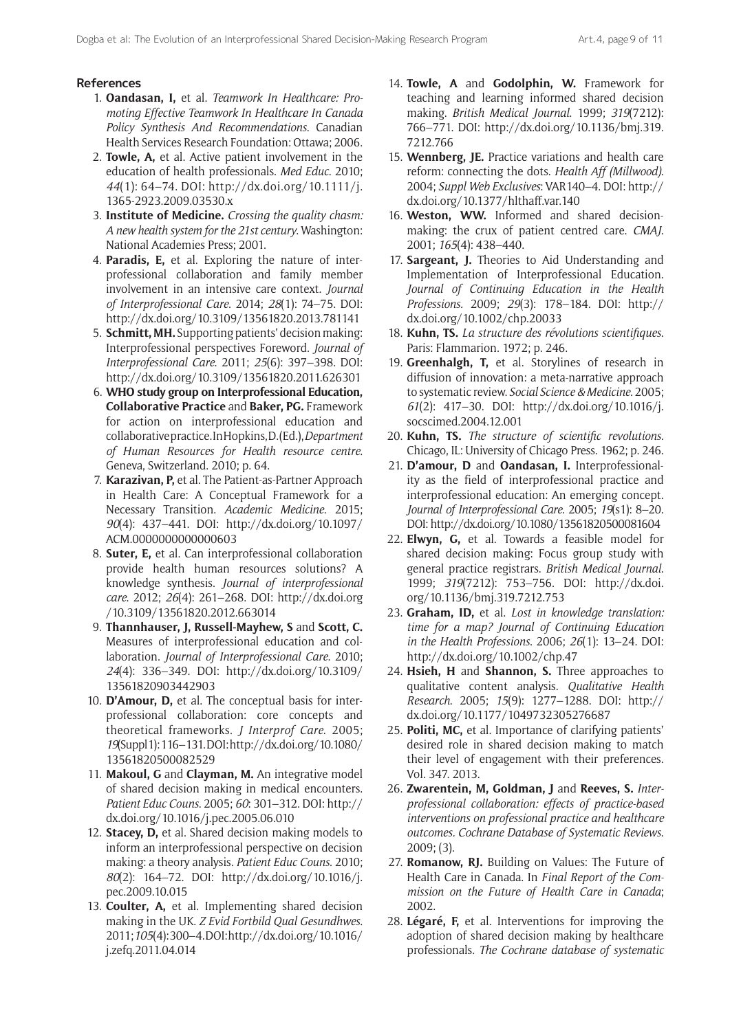## **References**

- 1. **Oandasan, I,** et al. *Teamwork In Healthcare: Promoting Effective Teamwork In Healthcare In Canada Policy Synthesis And Recommendations*. Canadian Health Services Research Foundation: Ottawa; 2006.
- 2. **Towle, A,** et al. Active patient involvement in the education of health professionals. *Med Educ*. 2010; *44*(1): 64–74. DOI: [http://dx.doi.org/10.1111/j.](http://dx.doi.org/10.1111/j.1365-2923.2009.03530.x) [1365-2923.2009.03530.x](http://dx.doi.org/10.1111/j.1365-2923.2009.03530.x)
- 3. **Institute of Medicine.** *Crossing the quality chasm: A new health system for the 21st century*. Washington: National Academies Press; 2001.
- 4. **Paradis, E,** et al. Exploring the nature of interprofessional collaboration and family member involvement in an intensive care context. *Journal of Interprofessional Care*. 2014; *28*(1): 74–75. DOI: <http://dx.doi.org/10.3109/13561820.2013.781141>
- 5. **Schmitt, MH.** Supporting patients' decision making: Interprofessional perspectives Foreword. *Journal of Interprofessional Care*. 2011; *25*(6): 397–398. DOI: <http://dx.doi.org/10.3109/13561820.2011.626301>
- 6. **WHO study group on Interprofessional Education, Collaborative Practice** and **Baker, PG.** Framework for action on interprofessional education and collaborative practice. In Hopkins, D. (Ed.), *Department of Human Resources for Health resource centre*. Geneva, Switzerland. 2010; p. 64.
- 7. **Karazivan, P,** et al. The Patient-as-Partner Approach in Health Care: A Conceptual Framework for a Necessary Transition. *Academic Medicine*. 2015; *90*(4): 437–441. DOI: [http://dx.doi.org/10.1097/](http://dx.doi.org/10.1097/ACM.0000000000000603) [ACM.0000000000000603](http://dx.doi.org/10.1097/ACM.0000000000000603)
- 8. **Suter, E,** et al. Can interprofessional collaboration provide health human resources solutions? A knowledge synthesis. *Journal of interprofessional care*. 2012; *26*(4): 261–268. DOI: [http://dx.doi.org](http://dx.doi.org/10.3109/13561820.2012.663014) [/10.3109/13561820.2012.663014](http://dx.doi.org/10.3109/13561820.2012.663014)
- 9. **Thannhauser, J, Russell-Mayhew, S** and **Scott, C.**  Measures of interprofessional education and collaboration. *Journal of Interprofessional Care*. 2010; *24*(4): 336–349. DOI: [http://dx.doi.org/10.3109/](http://dx.doi.org/10.3109/13561820903442903) [13561820903442903](http://dx.doi.org/10.3109/13561820903442903)
- 10. **D'Amour, D,** et al. The conceptual basis for interprofessional collaboration: core concepts and theoretical frameworks. *J Interprof Care*. 2005; *19*(Suppl 1): 116–131. DOI: [http://dx.doi.org/10.1080/](http://dx.doi.org/10.1080/13561820500082529) [13561820500082529](http://dx.doi.org/10.1080/13561820500082529)
- 11. **Makoul, G** and **Clayman, M.** An integrative model of shared decision making in medical encounters. *Patient Educ Couns*. 2005; *60*: 301–312. DOI: [http://](http://dx.doi.org/10.1016/j.pec.2005.06.010) [dx.doi.org/10.1016/j.pec.2005.06.010](http://dx.doi.org/10.1016/j.pec.2005.06.010)
- 12. **Stacey, D,** et al. Shared decision making models to inform an interprofessional perspective on decision making: a theory analysis*. Patient Educ Couns*. 2010; *80*(2): 164–72. DOI: [http://dx.doi.org/10.1016/j.](http://dx.doi.org/10.1016/j.pec.2009.10.015) [pec.2009.10.015](http://dx.doi.org/10.1016/j.pec.2009.10.015)
- 13. **Coulter, A,** et al. Implementing shared decision making in the UK. *Z Evid Fortbild Qual Gesundhwes*. 2011; *105*(4): 300–4. DOI: [http://dx.doi.org/10.1016/](http://dx.doi.org/10.1016/j.zefq.2011.04.014) [j.zefq.2011.04.014](http://dx.doi.org/10.1016/j.zefq.2011.04.014)
- 14. **Towle, A** and **Godolphin, W.** Framework for teaching and learning informed shared decision making. *British Medical Journal*. 1999; *319*(7212): 766–771. DOI: [http://dx.doi.org/10.1136/bmj.319.](http://dx.doi.org/10.1136/bmj.319.7212.766) [7212.766](http://dx.doi.org/10.1136/bmj.319.7212.766)
- 15. **Wennberg, JE.** Practice variations and health care reform: connecting the dots. *Health Aff (Millwood)*. 2004; *Suppl Web Exclusives*: VAR140–4. DOI: [http://](http://dx.doi.org/10.1377/hlthaff.var.140) [dx.doi.org/10.1377/hlthaff.var.140](http://dx.doi.org/10.1377/hlthaff.var.140)
- 16. **Weston, WW.** Informed and shared decisionmaking: the crux of patient centred care. *CMAJ*. 2001; *165*(4): 438–440.
- 17. **Sargeant, J.** Theories to Aid Understanding and Implementation of Interprofessional Education. *Journal of Continuing Education in the Health Professions.* 2009; *29*(3): 178–184. DOI: [http://](http://dx.doi.org/10.1002/chp.20033) [dx.doi.org/10.1002/chp.20033](http://dx.doi.org/10.1002/chp.20033)
- 18. **Kuhn, TS.** *La structure des révolutions scientifiques*. Paris: Flammarion. 1972; p. 246.
- 19. **Greenhalgh, T,** et al. Storylines of research in diffusion of innovation: a meta-narrative approach to systematic review. *Social Science & Medicine*. 2005; *61*(2): 417–30. DOI: [http://dx.doi.org/10.1016/j.](http://dx.doi.org/10.1016/j.socscimed.2004.12.001) [socscimed.2004.12.001](http://dx.doi.org/10.1016/j.socscimed.2004.12.001)
- 20. **Kuhn, TS.** *The structure of scientific revolutions.* Chicago, IL: University of Chicago Press. 1962; p. 246.
- 21. **D'amour, D** and **Oandasan, I.** Interprofessionality as the field of interprofessional practice and interprofessional education: An emerging concept. *Journal of Interprofessional Care.* 2005; *19*(s1): 8–20. DOI:<http://dx.doi.org/10.1080/13561820500081604>
- 22. **Elwyn, G,** et al. Towards a feasible model for shared decision making: Focus group study with general practice registrars. *British Medical Journal*. 1999; *319*(7212): 753–756. DOI: [http://dx.doi.](http://dx.doi.org/10.1136/bmj.319.7212.753) [org/10.1136/bmj.319.7212.753](http://dx.doi.org/10.1136/bmj.319.7212.753)
- 23. **Graham, ID,** et al. *Lost in knowledge translation: time for a map? Journal of Continuing Education in the Health Professions*. 2006; *26*(1): 13–24. DOI: <http://dx.doi.org/10.1002/chp.47>
- 24. **Hsieh, H** and **Shannon, S.** Three approaches to qualitative content analysis. *Qualitative Health Research*. 2005; *15*(9): 1277–1288. DOI: [http://](http://dx.doi.org/10.1177/1049732305276687) [dx.doi.org/10.1177/1049732305276687](http://dx.doi.org/10.1177/1049732305276687)
- 25. **Politi, MC,** et al. Importance of clarifying patients' desired role in shared decision making to match their level of engagement with their preferences. Vol. 347. 2013.
- 26. **Zwarentein, M, Goldman, J** and **Reeves, S.** *Interprofessional collaboration: effects of practice-based interventions on professional practice and healthcare outcomes. Cochrane Database of Systematic Reviews*. 2009; (3).
- 27. **Romanow, RJ.** Building on Values: The Future of Health Care in Canada. In *Final Report of the Commission on the Future of Health Care in Canada*; 2002.
- 28. **Légaré, F,** et al. Interventions for improving the adoption of shared decision making by healthcare professionals. *The Cochrane database of systematic*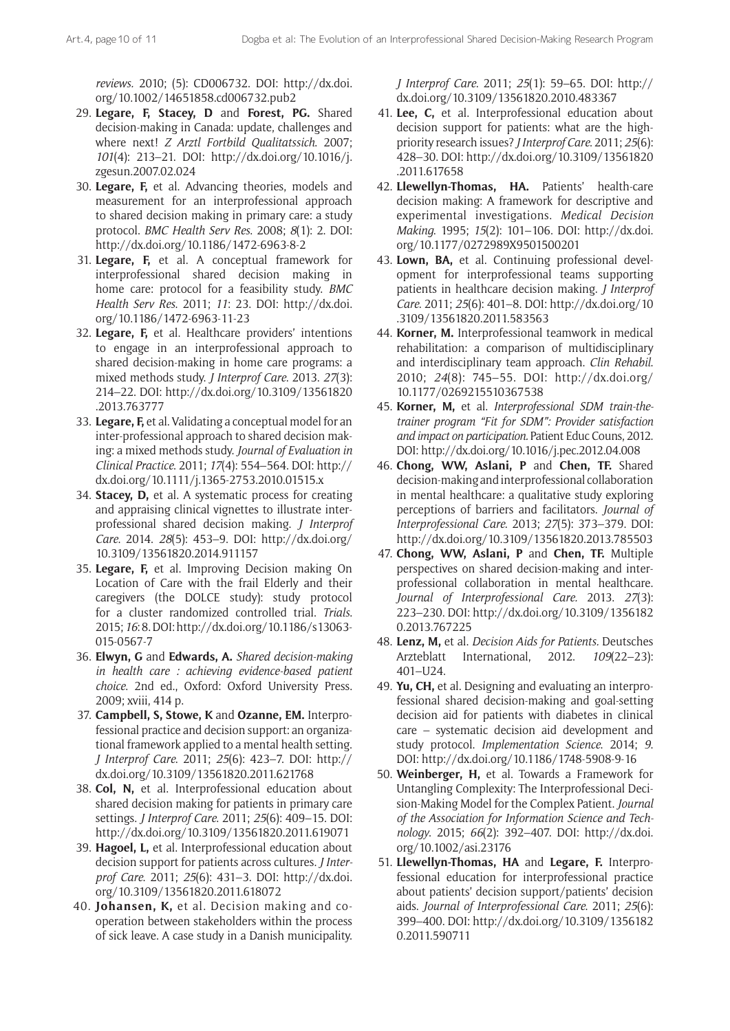*reviews.* 2010; (5): CD006732. DOI: [http://dx.doi.](http://dx.doi.org/10.1002/14651858.cd006732.pub2) [org/10.1002/14651858.cd006732.pub2](http://dx.doi.org/10.1002/14651858.cd006732.pub2)

- 29. **Legare, F, Stacey, D** and **Forest, PG.** Shared decision-making in Canada: update, challenges and where next! *Z Arztl Fortbild Qualitatssich*. 2007; *101*(4): 213–21. DOI: [http://dx.doi.org/10.1016/j.](http://dx.doi.org/10.1016/j.zgesun.2007.02.024) [zgesun.2007.02.024](http://dx.doi.org/10.1016/j.zgesun.2007.02.024)
- 30. **Legare, F,** et al. Advancing theories, models and measurement for an interprofessional approach to shared decision making in primary care: a study protocol. *BMC Health Serv Res*. 2008; *8*(1): 2. DOI: <http://dx.doi.org/10.1186/1472-6963-8-2>
- 31. **Legare, F,** et al. A conceptual framework for interprofessional shared decision making in home care: protocol for a feasibility study. *BMC Health Serv Res*. 2011; *11*: 23. DOI: [http://dx.doi.](http://dx.doi.org/10.1186/1472-6963-11-23) [org/10.1186/1472-6963-11-23](http://dx.doi.org/10.1186/1472-6963-11-23)
- 32. **Legare, F,** et al. Healthcare providers' intentions to engage in an interprofessional approach to shared decision-making in home care programs: a mixed methods study. *J Interprof Care*. 2013. *27*(3): 214–22. DOI: [http://dx.doi.org/10.3109/13561820](http://dx.doi.org/10.3109/13561820.2013.763777) [.2013.763777](http://dx.doi.org/10.3109/13561820.2013.763777)
- 33. **Legare, F,** et al. Validating a conceptual model for an inter-professional approach to shared decision making: a mixed methods study. *Journal of Evaluation in Clinical Practice*. 2011; *17*(4): 554–564. DOI: [http://](http://dx.doi.org/10.1111/j.1365-2753.2010.01515.x) [dx.doi.org/10.1111/j.1365-2753.2010.01515.x](http://dx.doi.org/10.1111/j.1365-2753.2010.01515.x)
- 34. **Stacey, D,** et al. A systematic process for creating and appraising clinical vignettes to illustrate interprofessional shared decision making. *J Interprof Care*. 2014. *28*(5): 453–9. DOI: [http://dx.doi.org/](http://dx.doi.org/10.3109/13561820.2014.911157) [10.3109/13561820.2014.911157](http://dx.doi.org/10.3109/13561820.2014.911157)
- 35. **Legare, F,** et al. Improving Decision making On Location of Care with the frail Elderly and their caregivers (the DOLCE study): study protocol for a cluster randomized controlled trial. *Trials*. 2015; *16*: 8. DOI: [http://dx.doi.org/10.1186/s13063-](http://dx.doi.org/10.1186/s13063-015-0567-7) [015-0567-7](http://dx.doi.org/10.1186/s13063-015-0567-7)
- 36. **Elwyn, G** and **Edwards, A.** *Shared decision-making in health care : achieving evidence-based patient choice*. 2nd ed., Oxford: Oxford University Press. 2009; xviii, 414 p.
- 37. **Campbell, S, Stowe, K** and **Ozanne, EM.** Interprofessional practice and decision support: an organizational framework applied to a mental health setting. *J Interprof Care*. 2011; *25*(6): 423–7. DOI: [http://](http://dx.doi.org/10.3109/13561820.2011.621768) [dx.doi.org/10.3109/13561820.2011.621768](http://dx.doi.org/10.3109/13561820.2011.621768)
- 38. **Col, N,** et al. Interprofessional education about shared decision making for patients in primary care settings. *J Interprof Care*. 2011; *25*(6): 409–15. DOI: <http://dx.doi.org/10.3109/13561820.2011.619071>
- 39. **Hagoel, L,** et al. Interprofessional education about decision support for patients across cultures. *J Interprof Care*. 2011; *25*(6): 431–3. DOI: [http://dx.doi.](http://dx.doi.org/10.3109/13561820.2011.618072) [org/10.3109/13561820.2011.618072](http://dx.doi.org/10.3109/13561820.2011.618072)
- 40. **Johansen, K,** et al. Decision making and cooperation between stakeholders within the process of sick leave. A case study in a Danish municipality.

*J Interprof Care*. 2011; *25*(1): 59–65. DOI: [http://](http://dx.doi.org/10.3109/13561820.2010.483367) [dx.doi.org/10.3109/13561820.2010.483367](http://dx.doi.org/10.3109/13561820.2010.483367)

- 41. **Lee, C,** et al. Interprofessional education about decision support for patients: what are the highpriority research issues? *J Interprof Care*. 2011; *25*(6): 428–30. DOI: [http://dx.doi.org/10.3109/13561820](http://dx.doi.org/10.3109/13561820.2011.617658) [.2011.617658](http://dx.doi.org/10.3109/13561820.2011.617658)
- 42. **Llewellyn-Thomas, HA.** Patients' health-care decision making: A framework for descriptive and experimental investigations. *Medical Decision Making*. 1995; *15*(2): 101–106. DOI: [http://dx.doi.](http://dx.doi.org/10.1177/0272989X9501500201) [org/10.1177/0272989X9501500201](http://dx.doi.org/10.1177/0272989X9501500201)
- 43. **Lown, BA,** et al. Continuing professional development for interprofessional teams supporting patients in healthcare decision making. *J Interprof Care*. 2011; *25*(6): 401–8. DOI: [http://dx.doi.org/10](http://dx.doi.org/10.3109/13561820.2011.583563) [.3109/13561820.2011.583563](http://dx.doi.org/10.3109/13561820.2011.583563)
- 44. **Korner, M.** Interprofessional teamwork in medical rehabilitation: a comparison of multidisciplinary and interdisciplinary team approach. *Clin Rehabil*. 2010; *24*(8): 745–55. DOI: [http://dx.doi.org/](http://dx.doi.org/10.1177/0269215510367538) [10.1177/0269215510367538](http://dx.doi.org/10.1177/0269215510367538)
- 45. **Korner, M,** et al. *Interprofessional SDM train-thetrainer program "Fit for SDM": Provider satisfaction and impact on participation.* Patient Educ Couns, 2012. DOI: <http://dx.doi.org/10.1016/j.pec.2012.04.008>
- 46. **Chong, WW, Aslani, P** and **Chen, TF.** Shared decision-making and interprofessional collaboration in mental healthcare: a qualitative study exploring perceptions of barriers and facilitators. *Journal of Interprofessional Care*. 2013; *27*(5): 373–379. DOI: <http://dx.doi.org/10.3109/13561820.2013.785503>
- 47. **Chong, WW, Aslani, P** and **Chen, TF.** Multiple perspectives on shared decision-making and interprofessional collaboration in mental healthcare. *Journal of Interprofessional Care.* 2013. *27*(3): 223–230. DOI: [http://dx.doi.org/10.3109/1356182](http://dx.doi.org/10.3109/13561820.2013.767225) [0.2013.767225](http://dx.doi.org/10.3109/13561820.2013.767225)
- 48. **Lenz, M,** et al. *Decision Aids for Patients.* Deutsches Arzteblatt International, 2012. *109*(22–23): 401–U24.
- 49. **Yu, CH,** et al. Designing and evaluating an interprofessional shared decision-making and goal-setting decision aid for patients with diabetes in clinical care – systematic decision aid development and study protocol. *Implementation Science*. 2014; *9*. DOI:<http://dx.doi.org/10.1186/1748-5908-9-16>
- 50. **Weinberger, H,** et al. Towards a Framework for Untangling Complexity: The Interprofessional Decision-Making Model for the Complex Patient. *Journal of the Association for Information Science and Technology*. 2015; *66*(2): 392–407. DOI: [http://dx.doi.](http://dx.doi.org/10.1002/asi.23176) [org/10.1002/asi.23176](http://dx.doi.org/10.1002/asi.23176)
- 51. **Llewellyn-Thomas, HA** and **Legare, F.** Interprofessional education for interprofessional practice about patients' decision support/patients' decision aids. *Journal of Interprofessional Care*. 2011; *25*(6): 399–400. DOI: [http://dx.doi.org/10.3109/1356182](http://dx.doi.org/10.3109/13561820.2011.590711) [0.2011.590711](http://dx.doi.org/10.3109/13561820.2011.590711)